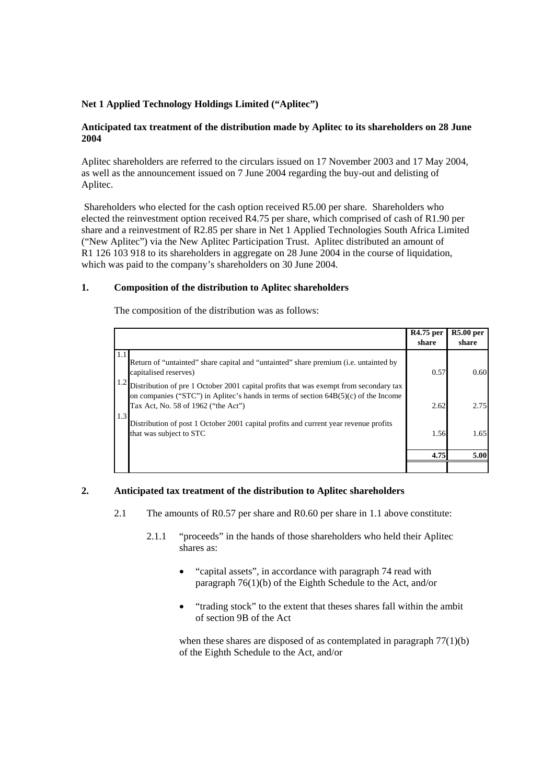## **Net 1 Applied Technology Holdings Limited ("Aplitec")**

## **Anticipated tax treatment of the distribution made by Aplitec to its shareholders on 28 June 2004**

Aplitec shareholders are referred to the circulars issued on 17 November 2003 and 17 May 2004, as well as the announcement issued on 7 June 2004 regarding the buy-out and delisting of Aplitec.

 Shareholders who elected for the cash option received R5.00 per share. Shareholders who elected the reinvestment option received R4.75 per share, which comprised of cash of R1.90 per share and a reinvestment of R2.85 per share in Net 1 Applied Technologies South Africa Limited ("New Aplitec") via the New Aplitec Participation Trust. Aplitec distributed an amount of R1 126 103 918 to its shareholders in aggregate on 28 June 2004 in the course of liquidation. which was paid to the company's shareholders on 30 June 2004.

## **1. Composition of the distribution to Aplitec shareholders**

The composition of the distribution was as follows:

|                                                                                                                                                                                                                              | R4.75 per<br>share | <b>R5.00 per</b><br>share |
|------------------------------------------------------------------------------------------------------------------------------------------------------------------------------------------------------------------------------|--------------------|---------------------------|
| 1.1<br>Return of "untainted" share capital and "untainted" share premium ( <i>i.e.</i> untainted by<br>capitalised reserves)                                                                                                 | 0.57               | 0.60                      |
| 1.2<br>Distribution of pre 1 October 2001 capital profits that was exempt from secondary tax<br>on companies ("STC") in Aplitec's hands in terms of section $64B(5)(c)$ of the Income<br>Tax Act, No. 58 of 1962 ("the Act") | 2.62               | 2.75                      |
| 1.3<br>Distribution of post 1 October 2001 capital profits and current year revenue profits<br>that was subject to STC                                                                                                       | 1.56               | 1.65                      |
|                                                                                                                                                                                                                              | 4.75               | 5.00                      |
|                                                                                                                                                                                                                              |                    |                           |

## **2. Anticipated tax treatment of the distribution to Aplitec shareholders**

- 2.1 The amounts of R0.57 per share and R0.60 per share in 1.1 above constitute:
	- 2.1.1 "proceeds" in the hands of those shareholders who held their Aplitec shares as:
		- "capital assets", in accordance with paragraph 74 read with paragraph 76(1)(b) of the Eighth Schedule to the Act, and/or
		- "trading stock" to the extent that theses shares fall within the ambit of section 9B of the Act

when these shares are disposed of as contemplated in paragraph  $77(1)(b)$ of the Eighth Schedule to the Act, and/or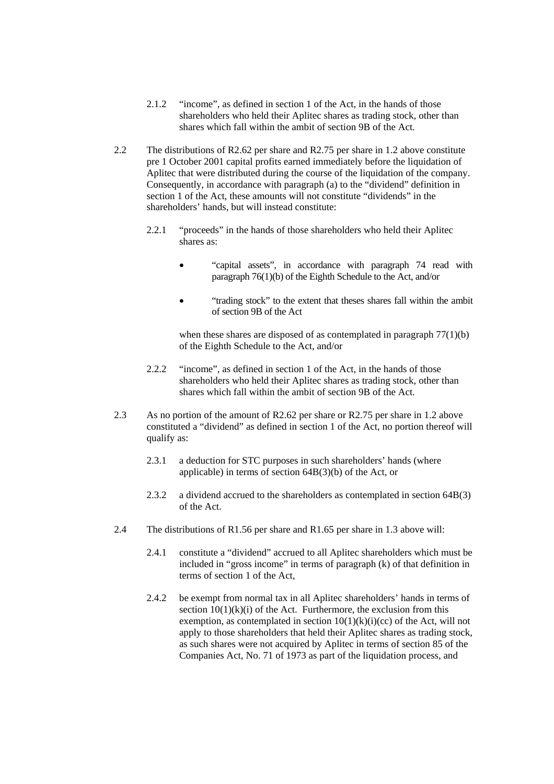- 2.1.2 "income", as defined in section 1 of the Act, in the hands of those shareholders who held their Aplitec shares as trading stock, other than shares which fall within the ambit of section 9B of the Act.
- 2.2 The distributions of R2.62 per share and R2.75 per share in 1.2 above constitute pre 1 October 2001 capital profits earned immediately before the liquidation of Aplitec that were distributed during the course of the liquidation of the company. Consequently, in accordance with paragraph (a) to the "dividend" definition in section 1 of the Act, these amounts will not constitute "dividends" in the shareholders' hands, but will instead constitute:
	- 2.2.1 "proceeds" in the hands of those shareholders who held their Aplitec shares as:
		- "capital assets", in accordance with paragraph 74 read with paragraph 76(1)(b) of the Eighth Schedule to the Act, and/or
		- "trading stock" to the extent that theses shares fall within the ambit of section 9B of the Act

when these shares are disposed of as contemplated in paragraph  $77(1)(b)$ of the Eighth Schedule to the Act, and/or

- 2.2.2 "income", as defined in section 1 of the Act, in the hands of those shareholders who held their Aplitec shares as trading stock, other than shares which fall within the ambit of section 9B of the Act.
- 2.3 As no portion of the amount of R2.62 per share or R2.75 per share in 1.2 above constituted a "dividend" as defined in section 1 of the Act, no portion thereof will qualify as:
	- 2.3.1 a deduction for STC purposes in such shareholders' hands (where applicable) in terms of section 64B(3)(b) of the Act, or
	- 2.3.2 a dividend accrued to the shareholders as contemplated in section 64B(3) of the Act.
- 2.4 The distributions of R1.56 per share and R1.65 per share in 1.3 above will:
	- 2.4.1 constitute a "dividend" accrued to all Aplitec shareholders which must be included in "gross income" in terms of paragraph (k) of that definition in terms of section 1 of the Act,
	- 2.4.2 be exempt from normal tax in all Aplitec shareholders' hands in terms of section  $10(1)(k)(i)$  of the Act. Furthermore, the exclusion from this exemption, as contemplated in section  $10(1)(k)(i)(cc)$  of the Act, will not apply to those shareholders that held their Aplitec shares as trading stock, as such shares were not acquired by Aplitec in terms of section 85 of the Companies Act, No. 71 of 1973 as part of the liquidation process, and